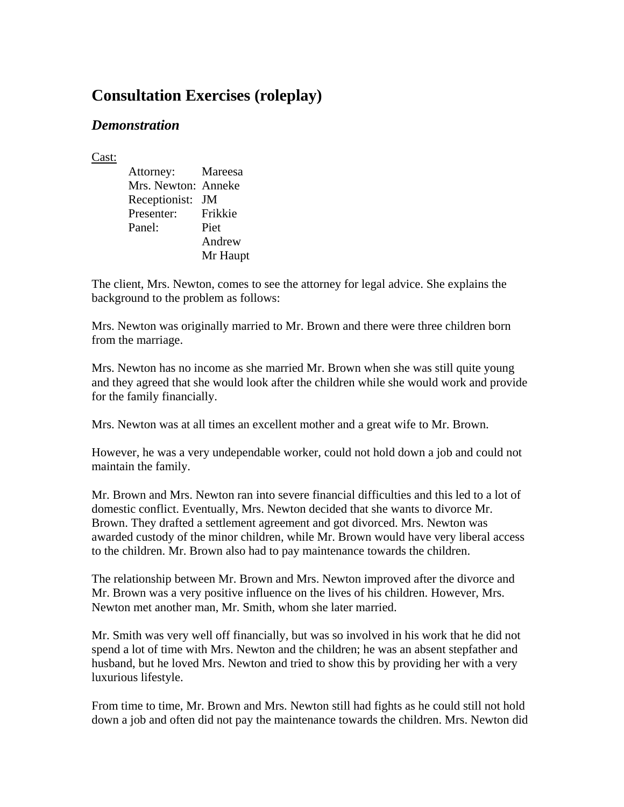# **Consultation Exercises (roleplay)**

## *Demonstration*

Cast:

 Attorney: Mareesa Mrs. Newton: Anneke Receptionist: JM Presenter: Frikkie Panel: Piet Andrew Mr Haupt

The client, Mrs. Newton, comes to see the attorney for legal advice. She explains the background to the problem as follows:

Mrs. Newton was originally married to Mr. Brown and there were three children born from the marriage.

Mrs. Newton has no income as she married Mr. Brown when she was still quite young and they agreed that she would look after the children while she would work and provide for the family financially.

Mrs. Newton was at all times an excellent mother and a great wife to Mr. Brown.

However, he was a very undependable worker, could not hold down a job and could not maintain the family.

Mr. Brown and Mrs. Newton ran into severe financial difficulties and this led to a lot of domestic conflict. Eventually, Mrs. Newton decided that she wants to divorce Mr. Brown. They drafted a settlement agreement and got divorced. Mrs. Newton was awarded custody of the minor children, while Mr. Brown would have very liberal access to the children. Mr. Brown also had to pay maintenance towards the children.

The relationship between Mr. Brown and Mrs. Newton improved after the divorce and Mr. Brown was a very positive influence on the lives of his children. However, Mrs. Newton met another man, Mr. Smith, whom she later married.

Mr. Smith was very well off financially, but was so involved in his work that he did not spend a lot of time with Mrs. Newton and the children; he was an absent stepfather and husband, but he loved Mrs. Newton and tried to show this by providing her with a very luxurious lifestyle.

From time to time, Mr. Brown and Mrs. Newton still had fights as he could still not hold down a job and often did not pay the maintenance towards the children. Mrs. Newton did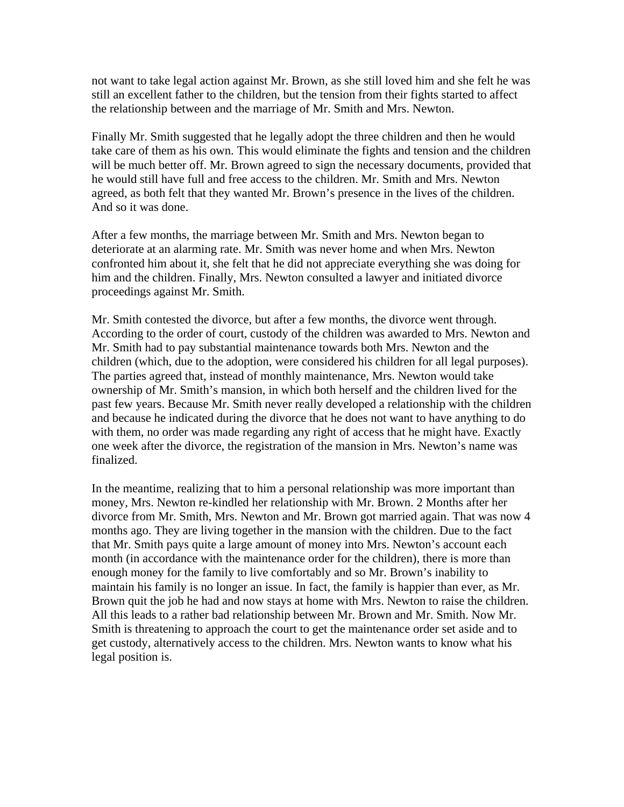not want to take legal action against Mr. Brown, as she still loved him and she felt he was still an excellent father to the children, but the tension from their fights started to affect the relationship between and the marriage of Mr. Smith and Mrs. Newton.

Finally Mr. Smith suggested that he legally adopt the three children and then he would take care of them as his own. This would eliminate the fights and tension and the children will be much better off. Mr. Brown agreed to sign the necessary documents, provided that he would still have full and free access to the children. Mr. Smith and Mrs. Newton agreed, as both felt that they wanted Mr. Brown's presence in the lives of the children. And so it was done.

After a few months, the marriage between Mr. Smith and Mrs. Newton began to deteriorate at an alarming rate. Mr. Smith was never home and when Mrs. Newton confronted him about it, she felt that he did not appreciate everything she was doing for him and the children. Finally, Mrs. Newton consulted a lawyer and initiated divorce proceedings against Mr. Smith.

Mr. Smith contested the divorce, but after a few months, the divorce went through. According to the order of court, custody of the children was awarded to Mrs. Newton and Mr. Smith had to pay substantial maintenance towards both Mrs. Newton and the children (which, due to the adoption, were considered his children for all legal purposes). The parties agreed that, instead of monthly maintenance, Mrs. Newton would take ownership of Mr. Smith's mansion, in which both herself and the children lived for the past few years. Because Mr. Smith never really developed a relationship with the children and because he indicated during the divorce that he does not want to have anything to do with them, no order was made regarding any right of access that he might have. Exactly one week after the divorce, the registration of the mansion in Mrs. Newton's name was finalized.

In the meantime, realizing that to him a personal relationship was more important than money, Mrs. Newton re-kindled her relationship with Mr. Brown. 2 Months after her divorce from Mr. Smith, Mrs. Newton and Mr. Brown got married again. That was now 4 months ago. They are living together in the mansion with the children. Due to the fact that Mr. Smith pays quite a large amount of money into Mrs. Newton's account each month (in accordance with the maintenance order for the children), there is more than enough money for the family to live comfortably and so Mr. Brown's inability to maintain his family is no longer an issue. In fact, the family is happier than ever, as Mr. Brown quit the job he had and now stays at home with Mrs. Newton to raise the children. All this leads to a rather bad relationship between Mr. Brown and Mr. Smith. Now Mr. Smith is threatening to approach the court to get the maintenance order set aside and to get custody, alternatively access to the children. Mrs. Newton wants to know what his legal position is.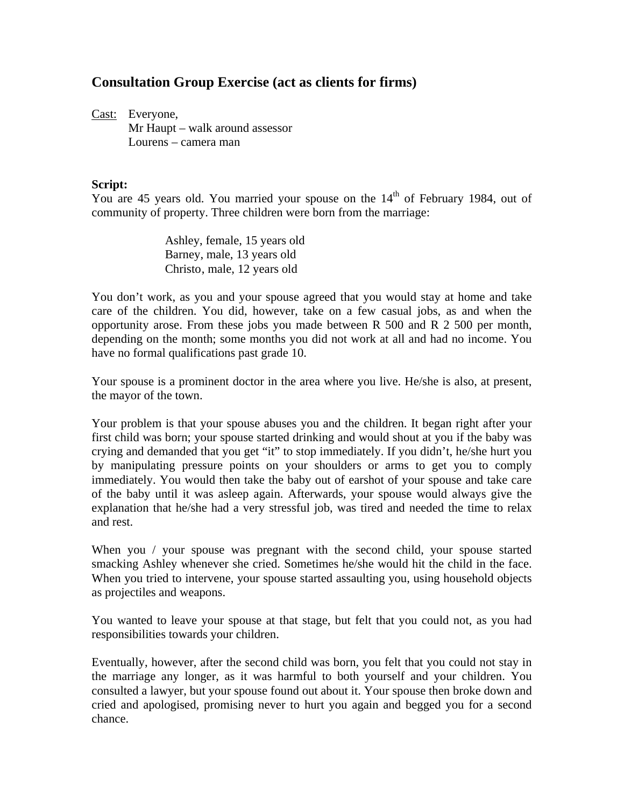## **Consultation Group Exercise (act as clients for firms)**

Cast: Everyone, Mr Haupt – walk around assessor Lourens – camera man

#### **Script:**

You are 45 years old. You married your spouse on the 14<sup>th</sup> of February 1984, out of community of property. Three children were born from the marriage:

> Ashley, female, 15 years old Barney, male, 13 years old Christo, male, 12 years old

You don't work, as you and your spouse agreed that you would stay at home and take care of the children. You did, however, take on a few casual jobs, as and when the opportunity arose. From these jobs you made between R 500 and R 2 500 per month, depending on the month; some months you did not work at all and had no income. You have no formal qualifications past grade 10.

Your spouse is a prominent doctor in the area where you live. He/she is also, at present, the mayor of the town.

Your problem is that your spouse abuses you and the children. It began right after your first child was born; your spouse started drinking and would shout at you if the baby was crying and demanded that you get "it" to stop immediately. If you didn't, he/she hurt you by manipulating pressure points on your shoulders or arms to get you to comply immediately. You would then take the baby out of earshot of your spouse and take care of the baby until it was asleep again. Afterwards, your spouse would always give the explanation that he/she had a very stressful job, was tired and needed the time to relax and rest.

When you / your spouse was pregnant with the second child, your spouse started smacking Ashley whenever she cried. Sometimes he/she would hit the child in the face. When you tried to intervene, your spouse started assaulting you, using household objects as projectiles and weapons.

You wanted to leave your spouse at that stage, but felt that you could not, as you had responsibilities towards your children.

Eventually, however, after the second child was born, you felt that you could not stay in the marriage any longer, as it was harmful to both yourself and your children. You consulted a lawyer, but your spouse found out about it. Your spouse then broke down and cried and apologised, promising never to hurt you again and begged you for a second chance.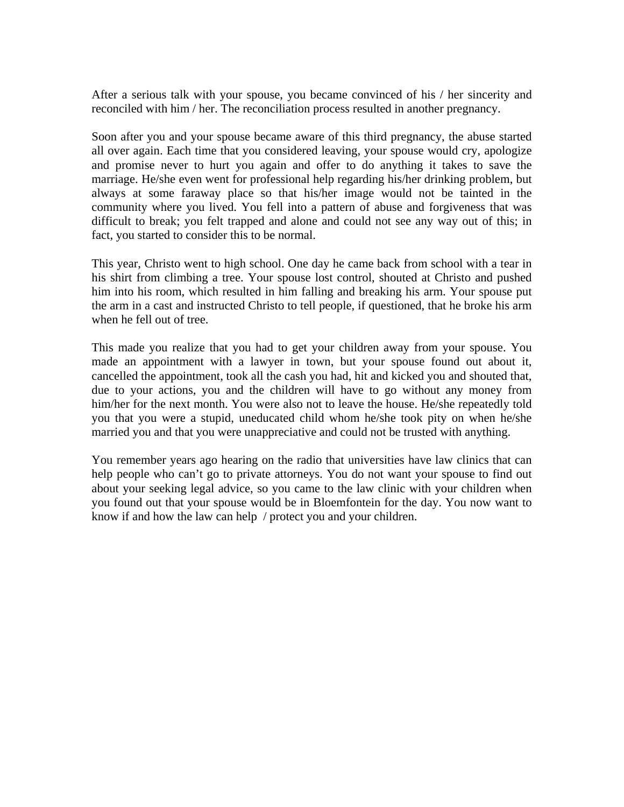After a serious talk with your spouse, you became convinced of his / her sincerity and reconciled with him / her. The reconciliation process resulted in another pregnancy.

Soon after you and your spouse became aware of this third pregnancy, the abuse started all over again. Each time that you considered leaving, your spouse would cry, apologize and promise never to hurt you again and offer to do anything it takes to save the marriage. He/she even went for professional help regarding his/her drinking problem, but always at some faraway place so that his/her image would not be tainted in the community where you lived. You fell into a pattern of abuse and forgiveness that was difficult to break; you felt trapped and alone and could not see any way out of this; in fact, you started to consider this to be normal.

This year, Christo went to high school. One day he came back from school with a tear in his shirt from climbing a tree. Your spouse lost control, shouted at Christo and pushed him into his room, which resulted in him falling and breaking his arm. Your spouse put the arm in a cast and instructed Christo to tell people, if questioned, that he broke his arm when he fell out of tree.

This made you realize that you had to get your children away from your spouse. You made an appointment with a lawyer in town, but your spouse found out about it, cancelled the appointment, took all the cash you had, hit and kicked you and shouted that, due to your actions, you and the children will have to go without any money from him/her for the next month. You were also not to leave the house. He/she repeatedly told you that you were a stupid, uneducated child whom he/she took pity on when he/she married you and that you were unappreciative and could not be trusted with anything.

You remember years ago hearing on the radio that universities have law clinics that can help people who can't go to private attorneys. You do not want your spouse to find out about your seeking legal advice, so you came to the law clinic with your children when you found out that your spouse would be in Bloemfontein for the day. You now want to know if and how the law can help / protect you and your children.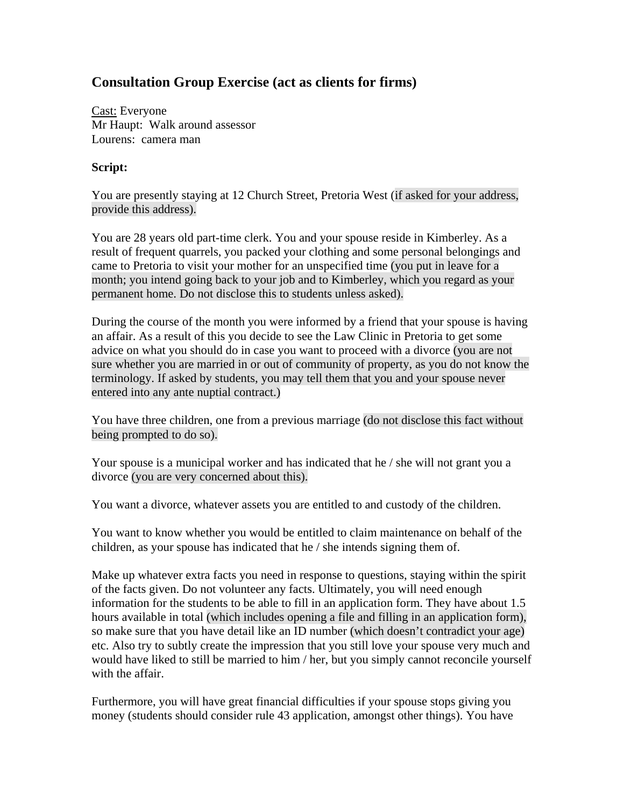## **Consultation Group Exercise (act as clients for firms)**

Cast: Everyone Mr Haupt: Walk around assessor Lourens: camera man

### **Script:**

You are presently staying at 12 Church Street, Pretoria West (if asked for your address, provide this address).

You are 28 years old part-time clerk. You and your spouse reside in Kimberley. As a result of frequent quarrels, you packed your clothing and some personal belongings and came to Pretoria to visit your mother for an unspecified time (you put in leave for a month; you intend going back to your job and to Kimberley, which you regard as your permanent home. Do not disclose this to students unless asked).

During the course of the month you were informed by a friend that your spouse is having an affair. As a result of this you decide to see the Law Clinic in Pretoria to get some advice on what you should do in case you want to proceed with a divorce (you are not sure whether you are married in or out of community of property, as you do not know the terminology. If asked by students, you may tell them that you and your spouse never entered into any ante nuptial contract.)

You have three children, one from a previous marriage (do not disclose this fact without being prompted to do so).

Your spouse is a municipal worker and has indicated that he / she will not grant you a divorce (you are very concerned about this).

You want a divorce, whatever assets you are entitled to and custody of the children.

You want to know whether you would be entitled to claim maintenance on behalf of the children, as your spouse has indicated that he / she intends signing them of.

Make up whatever extra facts you need in response to questions, staying within the spirit of the facts given. Do not volunteer any facts. Ultimately, you will need enough information for the students to be able to fill in an application form. They have about 1.5 hours available in total (which includes opening a file and filling in an application form), so make sure that you have detail like an ID number (which doesn't contradict your age) etc. Also try to subtly create the impression that you still love your spouse very much and would have liked to still be married to him / her, but you simply cannot reconcile yourself with the affair.

Furthermore, you will have great financial difficulties if your spouse stops giving you money (students should consider rule 43 application, amongst other things). You have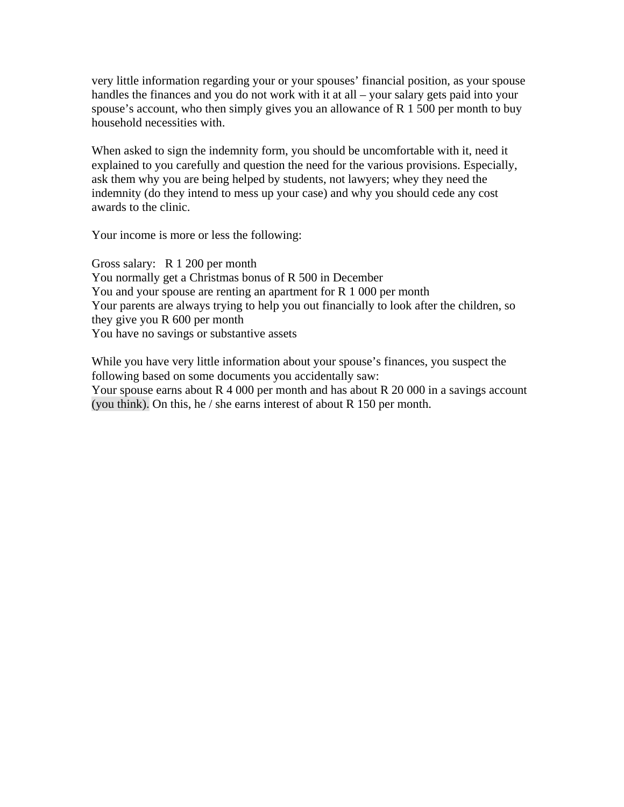very little information regarding your or your spouses' financial position, as your spouse handles the finances and you do not work with it at all – your salary gets paid into your spouse's account, who then simply gives you an allowance of R 1 500 per month to buy household necessities with.

When asked to sign the indemnity form, you should be uncomfortable with it, need it explained to you carefully and question the need for the various provisions. Especially, ask them why you are being helped by students, not lawyers; whey they need the indemnity (do they intend to mess up your case) and why you should cede any cost awards to the clinic.

Your income is more or less the following:

Gross salary: R 1 200 per month You normally get a Christmas bonus of R 500 in December You and your spouse are renting an apartment for R 1 000 per month Your parents are always trying to help you out financially to look after the children, so they give you R 600 per month You have no savings or substantive assets

While you have very little information about your spouse's finances, you suspect the following based on some documents you accidentally saw: Your spouse earns about R 4 000 per month and has about R 20 000 in a savings account (you think). On this, he / she earns interest of about R 150 per month.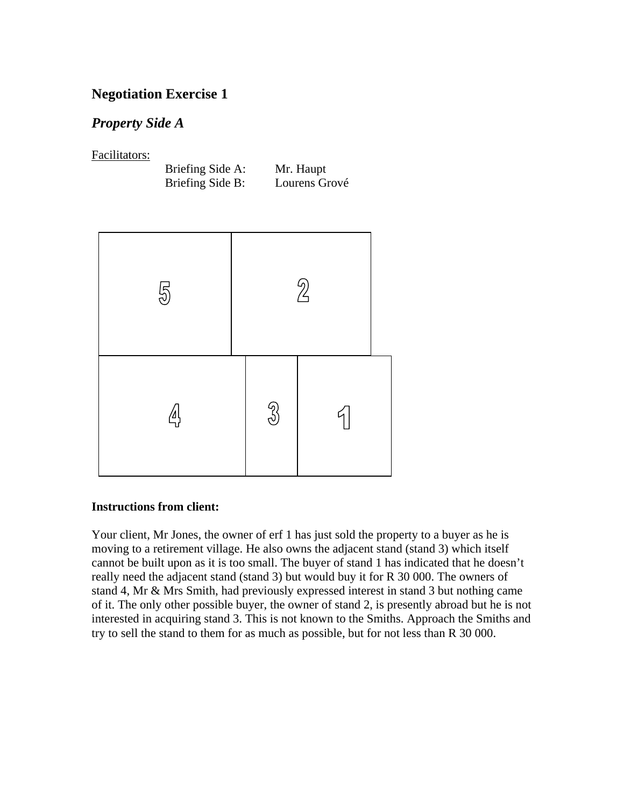## **Negotiation Exercise 1**

## *Property Side A*

Facilitators:

| Briefing Side A: | Mr. Haupt     |
|------------------|---------------|
| Briefing Side B: | Lourens Grové |



### **Instructions from client:**

Your client, Mr Jones, the owner of erf 1 has just sold the property to a buyer as he is moving to a retirement village. He also owns the adjacent stand (stand 3) which itself cannot be built upon as it is too small. The buyer of stand 1 has indicated that he doesn't really need the adjacent stand (stand 3) but would buy it for R 30 000. The owners of stand 4, Mr & Mrs Smith, had previously expressed interest in stand 3 but nothing came of it. The only other possible buyer, the owner of stand 2, is presently abroad but he is not interested in acquiring stand 3. This is not known to the Smiths. Approach the Smiths and try to sell the stand to them for as much as possible, but for not less than R 30 000.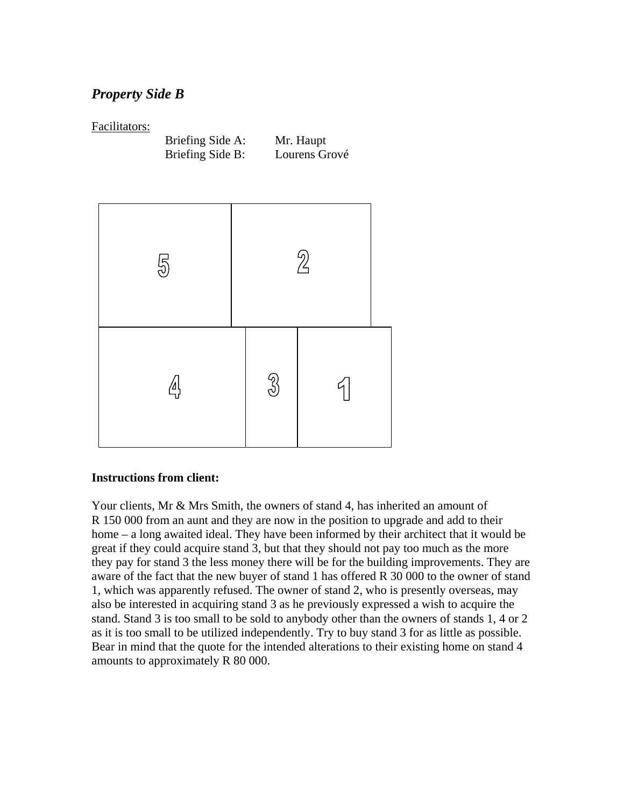## *Property Side B*

### Facilitators:

| Briefing Side A: | Mr. Haupt     |
|------------------|---------------|
| Briefing Side B: | Lourens Grové |



### **Instructions from client:**

Your clients, Mr & Mrs Smith, the owners of stand 4, has inherited an amount of R 150 000 from an aunt and they are now in the position to upgrade and add to their home – a long awaited ideal. They have been informed by their architect that it would be great if they could acquire stand 3, but that they should not pay too much as the more they pay for stand 3 the less money there will be for the building improvements. They are aware of the fact that the new buyer of stand 1 has offered R 30 000 to the owner of stand 1, which was apparently refused. The owner of stand 2, who is presently overseas, may also be interested in acquiring stand 3 as he previously expressed a wish to acquire the stand. Stand 3 is too small to be sold to anybody other than the owners of stands 1, 4 or 2 as it is too small to be utilized independently. Try to buy stand 3 for as little as possible. Bear in mind that the quote for the intended alterations to their existing home on stand 4 amounts to approximately R 80 000.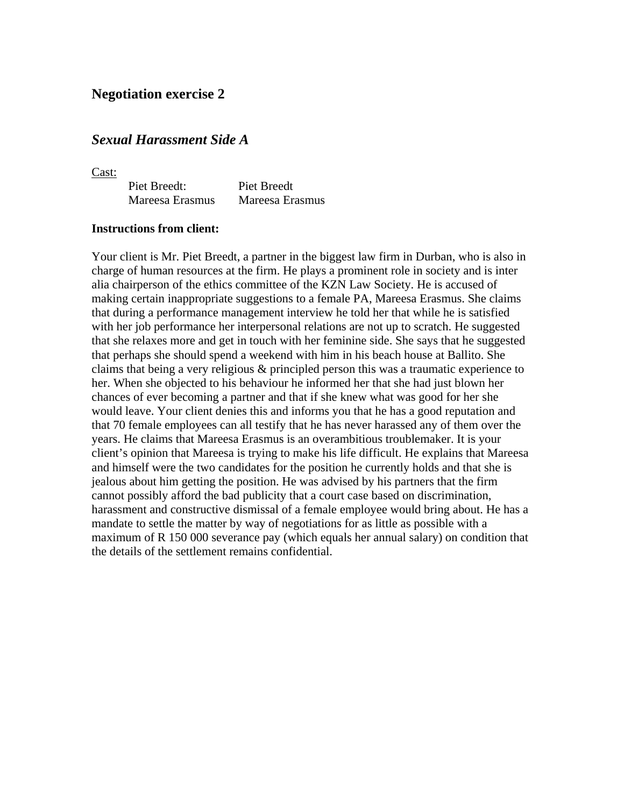### **Negotiation exercise 2**

### *Sexual Harassment Side A*

Cast:

| Piet Breedt:    | <b>Piet Breedt</b> |
|-----------------|--------------------|
| Mareesa Erasmus | Mareesa Erasmus    |

#### **Instructions from client:**

Your client is Mr. Piet Breedt, a partner in the biggest law firm in Durban, who is also in charge of human resources at the firm. He plays a prominent role in society and is inter alia chairperson of the ethics committee of the KZN Law Society. He is accused of making certain inappropriate suggestions to a female PA, Mareesa Erasmus. She claims that during a performance management interview he told her that while he is satisfied with her job performance her interpersonal relations are not up to scratch. He suggested that she relaxes more and get in touch with her feminine side. She says that he suggested that perhaps she should spend a weekend with him in his beach house at Ballito. She claims that being a very religious & principled person this was a traumatic experience to her. When she objected to his behaviour he informed her that she had just blown her chances of ever becoming a partner and that if she knew what was good for her she would leave. Your client denies this and informs you that he has a good reputation and that 70 female employees can all testify that he has never harassed any of them over the years. He claims that Mareesa Erasmus is an overambitious troublemaker. It is your client's opinion that Mareesa is trying to make his life difficult. He explains that Mareesa and himself were the two candidates for the position he currently holds and that she is jealous about him getting the position. He was advised by his partners that the firm cannot possibly afford the bad publicity that a court case based on discrimination, harassment and constructive dismissal of a female employee would bring about. He has a mandate to settle the matter by way of negotiations for as little as possible with a maximum of R 150 000 severance pay (which equals her annual salary) on condition that the details of the settlement remains confidential.